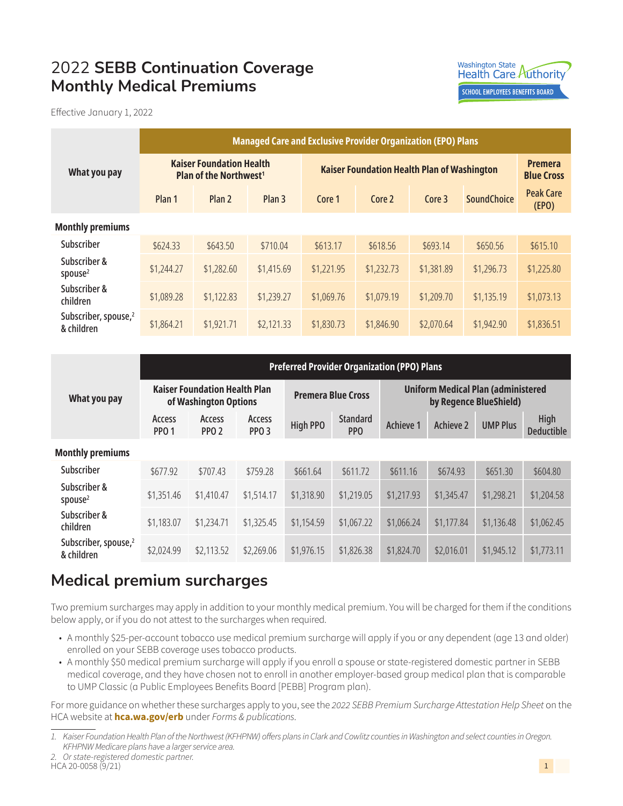## 2022 **SEBB Continuation Coverage Monthly Medical Premiums**



Effective January 1, 2022

|                                                | <b>Managed Care and Exclusive Provider Organization (EPO) Plans</b>         |                   |                   |                                                    |            |            |                    |                                     |
|------------------------------------------------|-----------------------------------------------------------------------------|-------------------|-------------------|----------------------------------------------------|------------|------------|--------------------|-------------------------------------|
| What you pay                                   | <b>Kaiser Foundation Health</b><br><b>Plan of the Northwest<sup>1</sup></b> |                   |                   | <b>Kaiser Foundation Health Plan of Washington</b> |            |            |                    | <b>Premera</b><br><b>Blue Cross</b> |
|                                                | Plan 1                                                                      | Plan <sub>2</sub> | Plan <sub>3</sub> | Core 1                                             | Core 2     | Core 3     | <b>SoundChoice</b> | <b>Peak Care</b><br>(FPO)           |
| <b>Monthly premiums</b>                        |                                                                             |                   |                   |                                                    |            |            |                    |                                     |
| Subscriber                                     | \$624.33                                                                    | \$643.50          | \$710.04          | \$613.17                                           | \$618.56   | \$693.14   | \$650.56           | \$615.10                            |
| Subscriber &<br>spouse $2$                     | \$1,244.27                                                                  | \$1,282.60        | \$1,415.69        | \$1,221.95                                         | \$1,232.73 | \$1,381.89 | \$1,296.73         | \$1,225.80                          |
| Subscriber &<br>children                       | \$1,089.28                                                                  | \$1,122.83        | \$1,239.27        | \$1,069.76                                         | \$1,079.19 | \$1,209.70 | \$1,135.19         | \$1,073.13                          |
| Subscriber, spouse, <sup>2</sup><br>& children | \$1,864.21                                                                  | \$1,921.71        | \$2,121.33        | \$1,830.73                                         | \$1,846.90 | \$2,070.64 | \$1,942.90         | \$1,836.51                          |

|                                                | <b>Preferred Provider Organization (PPO) Plans</b>            |                            |                            |                           |                        |                                                                     |                  |                 |                           |
|------------------------------------------------|---------------------------------------------------------------|----------------------------|----------------------------|---------------------------|------------------------|---------------------------------------------------------------------|------------------|-----------------|---------------------------|
| What you pay                                   | <b>Kaiser Foundation Health Plan</b><br>of Washington Options |                            |                            | <b>Premera Blue Cross</b> |                        | <b>Uniform Medical Plan (administered</b><br>by Regence BlueShield) |                  |                 |                           |
|                                                | Access<br><b>PPO 1</b>                                        | Access<br>PPO <sub>2</sub> | Access<br>PPO <sub>3</sub> | <b>High PPO</b>           | <b>Standard</b><br>PPO | Achieve 1                                                           | <b>Achieve 2</b> | <b>UMP Plus</b> | High<br><b>Deductible</b> |
| <b>Monthly premiums</b>                        |                                                               |                            |                            |                           |                        |                                                                     |                  |                 |                           |
| Subscriber                                     | \$677.92                                                      | \$707.43                   | \$759.28                   | \$661.64                  | \$611.72               | \$611.16                                                            | \$674.93         | \$651.30        | \$604.80                  |
| Subscriber &<br>spouse $2$                     | \$1,351.46                                                    | \$1,410.47                 | \$1,514.17                 | \$1,318.90                | \$1,219.05             | \$1,217.93                                                          | \$1,345.47       | \$1,298.21      | \$1,204.58                |
| Subscriber &<br>children                       | \$1,183.07                                                    | \$1,234.71                 | \$1,325.45                 | \$1,154.59                | \$1,067.22             | \$1,066.24                                                          | \$1,177.84       | \$1,136.48      | \$1,062.45                |
| Subscriber, spouse, <sup>2</sup><br>& children | \$2,024.99                                                    | \$2,113.52                 | \$2,269.06                 | \$1,976.15                | \$1,826.38             | \$1,824.70                                                          | \$2,016.01       | \$1,945.12      | \$1,773.11                |

## **Medical premium surcharges**

Two premium surcharges may apply in addition to your monthly medical premium. You will be charged for them if the conditions below apply, or if you do not attest to the surcharges when required.

- A monthly \$25-per-account tobacco use medical premium surcharge will apply if you or any dependent (age 13 and older) enrolled on your SEBB coverage uses tobacco products.
- A monthly \$50 medical premium surcharge will apply if you enroll a spouse or state-registered domestic partner in SEBB medical coverage, and they have chosen not to enroll in another employer-based group medical plan that is comparable to UMP Classic (a Public Employees Benefits Board [PEBB] Program plan).

For more guidance on whether these surcharges apply to you, see the *2022 SEBB Premium Surcharge Attestation Help Sheet* on the HCA website at **[hca.wa.gov/erb](http://hca.wa.gov/erb)** under *Forms & publications*.

<span id="page-0-1"></span>*2. Or state-registered domestic partner.*

<span id="page-0-0"></span>*<sup>1.</sup> Kaiser Foundation Health Plan of the Northwest (KFHPNW) offers plans in Clark and Cowlitz counties in Washington and select counties in Oregon. KFHPNW Medicare plans have a larger service area.*

HCA 20-0058 (9/21)